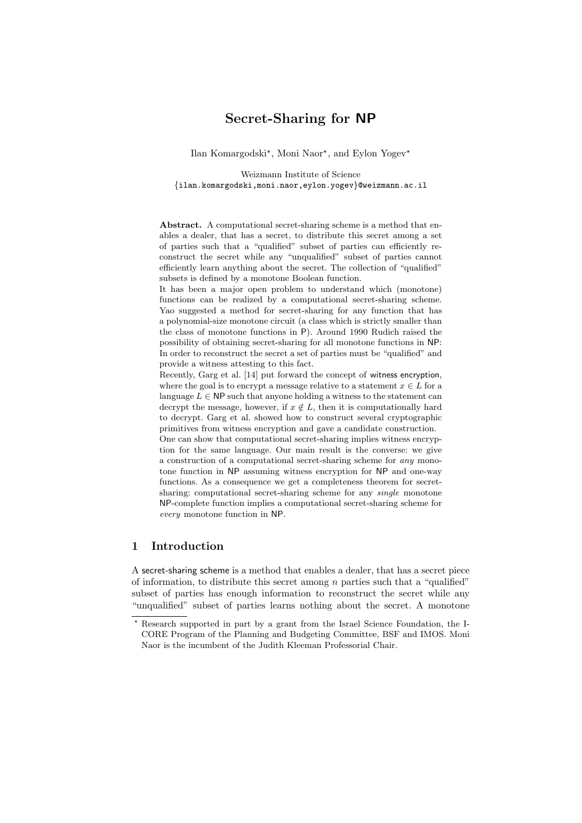# Secret-Sharing for NP

Ilan Komargodski<sup>\*</sup>, Moni Naor<sup>\*</sup>, and Eylon Yogev<sup>\*</sup>

Weizmann Institute of Science {ilan.komargodski,moni.naor,eylon.yogev}@weizmann.ac.il

Abstract. A computational secret-sharing scheme is a method that enables a dealer, that has a secret, to distribute this secret among a set of parties such that a "qualified" subset of parties can efficiently reconstruct the secret while any "unqualified" subset of parties cannot efficiently learn anything about the secret. The collection of "qualified" subsets is defined by a monotone Boolean function.

It has been a major open problem to understand which (monotone) functions can be realized by a computational secret-sharing scheme. Yao suggested a method for secret-sharing for any function that has a polynomial-size monotone circuit (a class which is strictly smaller than the class of monotone functions in P). Around 1990 Rudich raised the possibility of obtaining secret-sharing for all monotone functions in NP: In order to reconstruct the secret a set of parties must be "qualified" and provide a witness attesting to this fact.

Recently, Garg et al. [14] put forward the concept of witness encryption, where the goal is to encrypt a message relative to a statement  $x \in L$  for a language  $L \in \mathsf{NP}$  such that anyone holding a witness to the statement can decrypt the message, however, if  $x \notin L$ , then it is computationally hard to decrypt. Garg et al. showed how to construct several cryptographic primitives from witness encryption and gave a candidate construction.

One can show that computational secret-sharing implies witness encryption for the same language. Our main result is the converse: we give a construction of a computational secret-sharing scheme for any monotone function in NP assuming witness encryption for NP and one-way functions. As a consequence we get a completeness theorem for secretsharing: computational secret-sharing scheme for any *single* monotone NP-complete function implies a computational secret-sharing scheme for every monotone function in NP.

## 1 Introduction

A secret-sharing scheme is a method that enables a dealer, that has a secret piece of information, to distribute this secret among  $n$  parties such that a "qualified" subset of parties has enough information to reconstruct the secret while any "unqualified" subset of parties learns nothing about the secret. A monotone

<sup>?</sup> Research supported in part by a grant from the Israel Science Foundation, the I-CORE Program of the Planning and Budgeting Committee, BSF and IMOS. Moni Naor is the incumbent of the Judith Kleeman Professorial Chair.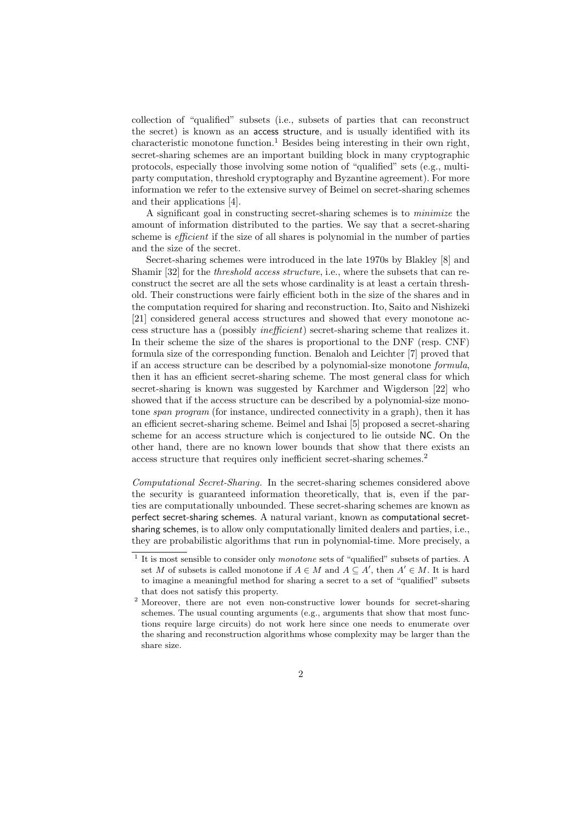collection of "qualified" subsets (i.e., subsets of parties that can reconstruct the secret) is known as an access structure, and is usually identified with its characteristic monotone function.<sup>1</sup> Besides being interesting in their own right, secret-sharing schemes are an important building block in many cryptographic protocols, especially those involving some notion of "qualified" sets (e.g., multiparty computation, threshold cryptography and Byzantine agreement). For more information we refer to the extensive survey of Beimel on secret-sharing schemes and their applications [4].

A significant goal in constructing secret-sharing schemes is to minimize the amount of information distributed to the parties. We say that a secret-sharing scheme is efficient if the size of all shares is polynomial in the number of parties and the size of the secret.

Secret-sharing schemes were introduced in the late 1970s by Blakley [8] and Shamir [32] for the *threshold access structure*, i.e., where the subsets that can reconstruct the secret are all the sets whose cardinality is at least a certain threshold. Their constructions were fairly efficient both in the size of the shares and in the computation required for sharing and reconstruction. Ito, Saito and Nishizeki [21] considered general access structures and showed that every monotone access structure has a (possibly inefficient) secret-sharing scheme that realizes it. In their scheme the size of the shares is proportional to the DNF (resp. CNF) formula size of the corresponding function. Benaloh and Leichter [7] proved that if an access structure can be described by a polynomial-size monotone formula, then it has an efficient secret-sharing scheme. The most general class for which secret-sharing is known was suggested by Karchmer and Wigderson [22] who showed that if the access structure can be described by a polynomial-size monotone span program (for instance, undirected connectivity in a graph), then it has an efficient secret-sharing scheme. Beimel and Ishai [5] proposed a secret-sharing scheme for an access structure which is conjectured to lie outside NC. On the other hand, there are no known lower bounds that show that there exists an access structure that requires only inefficient secret-sharing schemes.<sup>2</sup>

Computational Secret-Sharing. In the secret-sharing schemes considered above the security is guaranteed information theoretically, that is, even if the parties are computationally unbounded. These secret-sharing schemes are known as perfect secret-sharing schemes. A natural variant, known as computational secretsharing schemes, is to allow only computationally limited dealers and parties, i.e., they are probabilistic algorithms that run in polynomial-time. More precisely, a

<sup>&</sup>lt;sup>1</sup> It is most sensible to consider only *monotone* sets of "qualified" subsets of parties. A set M of subsets is called monotone if  $A \in M$  and  $A \subseteq A'$ , then  $A' \in M$ . It is hard to imagine a meaningful method for sharing a secret to a set of "qualified" subsets that does not satisfy this property.

<sup>2</sup> Moreover, there are not even non-constructive lower bounds for secret-sharing schemes. The usual counting arguments (e.g., arguments that show that most functions require large circuits) do not work here since one needs to enumerate over the sharing and reconstruction algorithms whose complexity may be larger than the share size.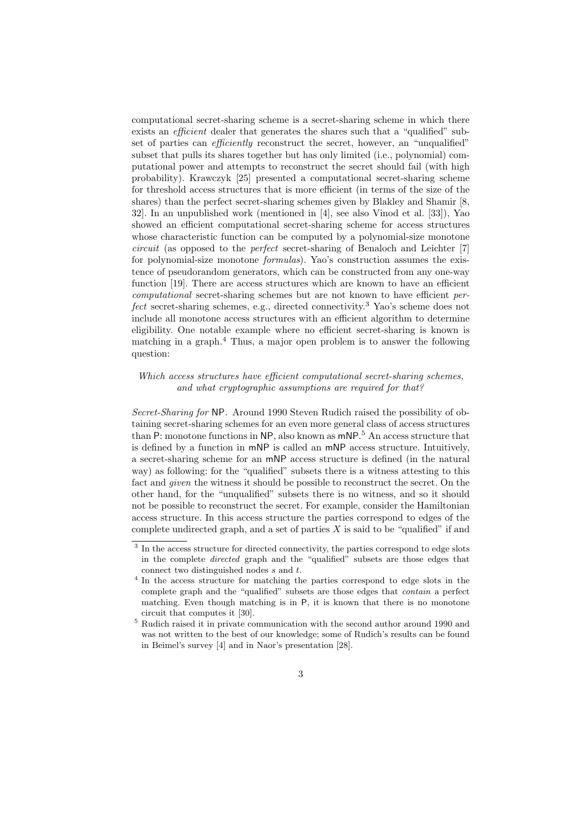computational secret-sharing scheme is a secret-sharing scheme in which there exists an *efficient* dealer that generates the shares such that a "qualified" subset of parties can *efficiently* reconstruct the secret, however, an "unqualified" subset that pulls its shares together but has only limited (i.e., polynomial) computational power and attempts to reconstruct the secret should fail (with high probability). Krawczyk [25] presented a computational secret-sharing scheme for threshold access structures that is more efficient (in terms of the size of the shares) than the perfect secret-sharing schemes given by Blakley and Shamir [8, 32]. In an unpublished work (mentioned in [4], see also Vinod et al. [33]), Yao showed an efficient computational secret-sharing scheme for access structures whose characteristic function can be computed by a polynomial-size monotone circuit (as opposed to the perfect secret-sharing of Benaloch and Leichter [7] for polynomial-size monotone formulas). Yao's construction assumes the existence of pseudorandom generators, which can be constructed from any one-way function [19]. There are access structures which are known to have an efficient computational secret-sharing schemes but are not known to have efficient perfect secret-sharing schemes, e.g., directed connectivity.<sup>3</sup> Yao's scheme does not include all monotone access structures with an efficient algorithm to determine eligibility. One notable example where no efficient secret-sharing is known is matching in a graph.<sup>4</sup> Thus, a major open problem is to answer the following question:

### Which access structures have efficient computational secret-sharing schemes, and what cryptographic assumptions are required for that?

Secret-Sharing for NP. Around 1990 Steven Rudich raised the possibility of obtaining secret-sharing schemes for an even more general class of access structures than P: monotone functions in NP, also known as  $\text{mNP.}^5$  An access structure that is defined by a function in mNP is called an mNP access structure. Intuitively, a secret-sharing scheme for an mNP access structure is defined (in the natural way) as following: for the "qualified" subsets there is a witness attesting to this fact and *given* the witness it should be possible to reconstruct the secret. On the other hand, for the "unqualified" subsets there is no witness, and so it should not be possible to reconstruct the secret. For example, consider the Hamiltonian access structure. In this access structure the parties correspond to edges of the complete undirected graph, and a set of parties  $X$  is said to be "qualified" if and

<sup>&</sup>lt;sup>3</sup> In the access structure for directed connectivity, the parties correspond to edge slots in the complete directed graph and the "qualified" subsets are those edges that connect two distinguished nodes s and t.

<sup>&</sup>lt;sup>4</sup> In the access structure for matching the parties correspond to edge slots in the complete graph and the "qualified" subsets are those edges that contain a perfect matching. Even though matching is in P, it is known that there is no monotone circuit that computes it [30].

 $^5$  Rudich raised it in private communication with the second author around 1990 and  $\,$ was not written to the best of our knowledge; some of Rudich's results can be found in Beimel's survey [4] and in Naor's presentation [28].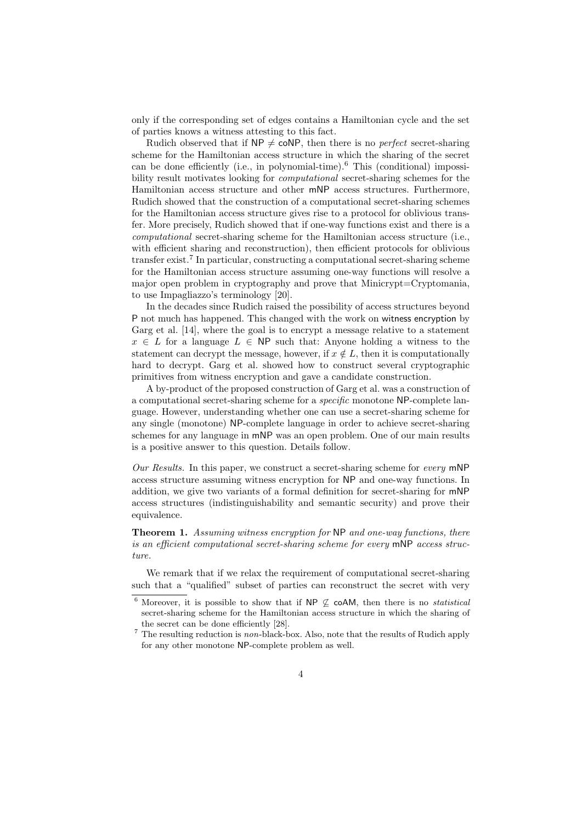only if the corresponding set of edges contains a Hamiltonian cycle and the set of parties knows a witness attesting to this fact.

Rudich observed that if  $NP \neq coNP$ , then there is no *perfect* secret-sharing scheme for the Hamiltonian access structure in which the sharing of the secret can be done efficiently (i.e., in polynomial-time).<sup>6</sup> This (conditional) impossibility result motivates looking for computational secret-sharing schemes for the Hamiltonian access structure and other mNP access structures. Furthermore, Rudich showed that the construction of a computational secret-sharing schemes for the Hamiltonian access structure gives rise to a protocol for oblivious transfer. More precisely, Rudich showed that if one-way functions exist and there is a computational secret-sharing scheme for the Hamiltonian access structure (i.e., with efficient sharing and reconstruction), then efficient protocols for oblivious transfer exist.<sup>7</sup> In particular, constructing a computational secret-sharing scheme for the Hamiltonian access structure assuming one-way functions will resolve a major open problem in cryptography and prove that Minicrypt=Cryptomania, to use Impagliazzo's terminology [20].

In the decades since Rudich raised the possibility of access structures beyond P not much has happened. This changed with the work on witness encryption by Garg et al. [14], where the goal is to encrypt a message relative to a statement  $x \in L$  for a language  $L \in \mathsf{NP}$  such that: Anyone holding a witness to the statement can decrypt the message, however, if  $x \notin L$ , then it is computationally hard to decrypt. Garg et al. showed how to construct several cryptographic primitives from witness encryption and gave a candidate construction.

A by-product of the proposed construction of Garg et al. was a construction of a computational secret-sharing scheme for a specific monotone NP-complete language. However, understanding whether one can use a secret-sharing scheme for any single (monotone) NP-complete language in order to achieve secret-sharing schemes for any language in mNP was an open problem. One of our main results is a positive answer to this question. Details follow.

Our Results. In this paper, we construct a secret-sharing scheme for every mNP access structure assuming witness encryption for NP and one-way functions. In addition, we give two variants of a formal definition for secret-sharing for mNP access structures (indistinguishability and semantic security) and prove their equivalence.

**Theorem 1.** Assuming witness encryption for NP and one-way functions, there is an efficient computational secret-sharing scheme for every mNP access structure.

We remark that if we relax the requirement of computational secret-sharing such that a "qualified" subset of parties can reconstruct the secret with very

<sup>&</sup>lt;sup>6</sup> Moreover, it is possible to show that if NP  $\&$  coAM, then there is no *statistical* secret-sharing scheme for the Hamiltonian access structure in which the sharing of the secret can be done efficiently [28].

 $7$  The resulting reduction is non-black-box. Also, note that the results of Rudich apply for any other monotone NP-complete problem as well.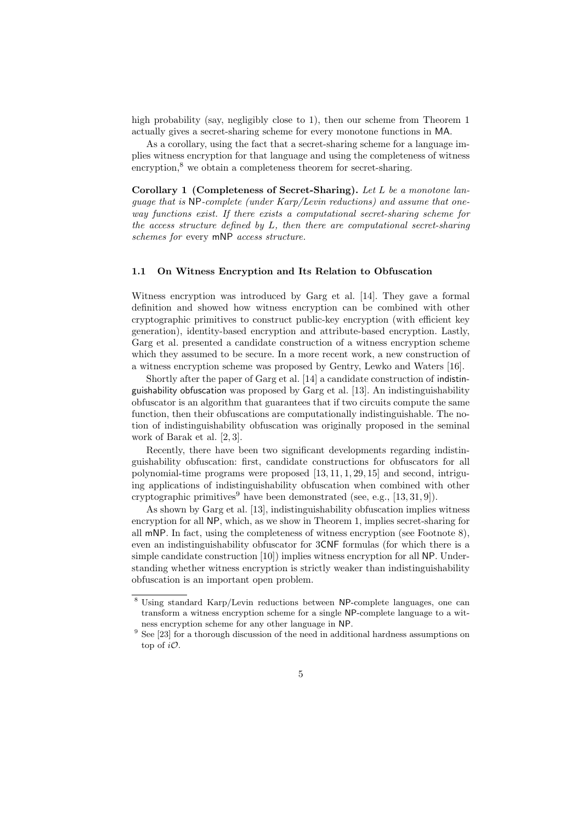high probability (say, negligibly close to 1), then our scheme from Theorem 1 actually gives a secret-sharing scheme for every monotone functions in MA.

As a corollary, using the fact that a secret-sharing scheme for a language implies witness encryption for that language and using the completeness of witness encryption, $\delta$  we obtain a completeness theorem for secret-sharing.

Corollary 1 (Completeness of Secret-Sharing). Let L be a monotone language that is NP-complete (under Karp/Levin reductions) and assume that oneway functions exist. If there exists a computational secret-sharing scheme for the access structure defined by L, then there are computational secret-sharing schemes for every mNP access structure.

### 1.1 On Witness Encryption and Its Relation to Obfuscation

Witness encryption was introduced by Garg et al. [14]. They gave a formal definition and showed how witness encryption can be combined with other cryptographic primitives to construct public-key encryption (with efficient key generation), identity-based encryption and attribute-based encryption. Lastly, Garg et al. presented a candidate construction of a witness encryption scheme which they assumed to be secure. In a more recent work, a new construction of a witness encryption scheme was proposed by Gentry, Lewko and Waters [16].

Shortly after the paper of Garg et al. [14] a candidate construction of indistinguishability obfuscation was proposed by Garg et al. [13]. An indistinguishability obfuscator is an algorithm that guarantees that if two circuits compute the same function, then their obfuscations are computationally indistinguishable. The notion of indistinguishability obfuscation was originally proposed in the seminal work of Barak et al. [2, 3].

Recently, there have been two significant developments regarding indistinguishability obfuscation: first, candidate constructions for obfuscators for all polynomial-time programs were proposed [13, 11, 1, 29, 15] and second, intriguing applications of indistinguishability obfuscation when combined with other cryptographic primitives<sup>9</sup> have been demonstrated (see, e.g., [13, 31, 9]).

As shown by Garg et al. [13], indistinguishability obfuscation implies witness encryption for all NP, which, as we show in Theorem 1, implies secret-sharing for all mNP. In fact, using the completeness of witness encryption (see Footnote 8), even an indistinguishability obfuscator for 3CNF formulas (for which there is a simple candidate construction [10]) implies witness encryption for all NP. Understanding whether witness encryption is strictly weaker than indistinguishability obfuscation is an important open problem.

<sup>8</sup> Using standard Karp/Levin reductions between NP-complete languages, one can transform a witness encryption scheme for a single NP-complete language to a witness encryption scheme for any other language in NP.

 $9$  See [23] for a thorough discussion of the need in additional hardness assumptions on top of  $i\mathcal{O}$ .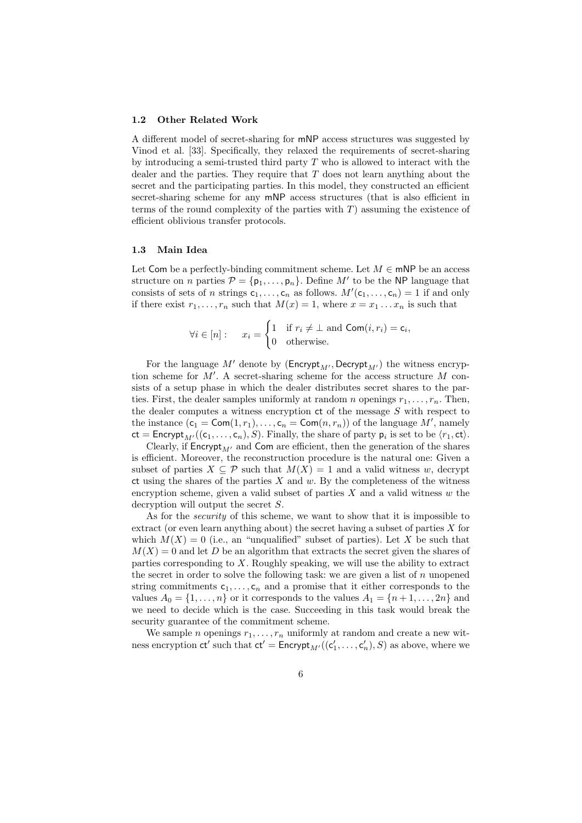#### 1.2 Other Related Work

A different model of secret-sharing for mNP access structures was suggested by Vinod et al. [33]. Specifically, they relaxed the requirements of secret-sharing by introducing a semi-trusted third party  $T$  who is allowed to interact with the dealer and the parties. They require that  $T$  does not learn anything about the secret and the participating parties. In this model, they constructed an efficient secret-sharing scheme for any mNP access structures (that is also efficient in terms of the round complexity of the parties with  $T$ ) assuming the existence of efficient oblivious transfer protocols.

### 1.3 Main Idea

Let Com be a perfectly-binding commitment scheme. Let  $M \in \mathsf{mNP}$  be an access structure on *n* parties  $P = \{p_1, \ldots, p_n\}$ . Define M' to be the NP language that consists of sets of n strings  $c_1, \ldots, c_n$  as follows.  $M'(c_1, \ldots, c_n) = 1$  if and only if there exist  $r_1, \ldots, r_n$  such that  $M(x) = 1$ , where  $x = x_1 \ldots x_n$  is such that

$$
\forall i \in [n]: \quad x_i = \begin{cases} 1 & \text{if } r_i \neq \bot \text{ and } \mathsf{Com}(i, r_i) = \mathsf{c}_i, \\ 0 & \text{otherwise.} \end{cases}
$$

For the language M' denote by ( $\text{Encrypt}_{M'}$ , Decrypt<sub>M'</sub>) the witness encryption scheme for  $M'$ . A secret-sharing scheme for the access structure  $M$  consists of a setup phase in which the dealer distributes secret shares to the parties. First, the dealer samples uniformly at random *n* openings  $r_1, \ldots, r_n$ . Then, the dealer computes a witness encryption  $ct$  of the message  $S$  with respect to the instance  $(c_1 = \text{Com}(1, r_1), \dots, c_n = \text{Com}(n, r_n))$  of the language M', namely  $ct = \mathsf{Encrypt}_{M'}((c_1, \ldots, c_n), S)$ . Finally, the share of party  $p_i$  is set to be  $\langle r_1, ct \rangle$ .

Clearly, if Encrypt<sub>M</sub>, and Com are efficient, then the generation of the shares is efficient. Moreover, the reconstruction procedure is the natural one: Given a subset of parties  $X \subseteq \mathcal{P}$  such that  $M(X) = 1$  and a valid witness w, decrypt  $ct$  using the shares of the parties  $X$  and  $w$ . By the completeness of the witness encryption scheme, given a valid subset of parties  $X$  and a valid witness  $w$  the decryption will output the secret S.

As for the security of this scheme, we want to show that it is impossible to extract (or even learn anything about) the secret having a subset of parties  $X$  for which  $M(X) = 0$  (i.e., an "unqualified" subset of parties). Let X be such that  $M(X) = 0$  and let D be an algorithm that extracts the secret given the shares of parties corresponding to X. Roughly speaking, we will use the ability to extract the secret in order to solve the following task: we are given a list of  $n$  unopened string commitments  $c_1, \ldots, c_n$  and a promise that it either corresponds to the values  $A_0 = \{1, \ldots, n\}$  or it corresponds to the values  $A_1 = \{n+1, \ldots, 2n\}$  and we need to decide which is the case. Succeeding in this task would break the security guarantee of the commitment scheme.

We sample *n* openings  $r_1, \ldots, r_n$  uniformly at random and create a new witness encryption  $ct'$  such that  $ct' =$  Encrypt<sub>M'</sub> $((c'_1, ..., c'_n), S)$  as above, where we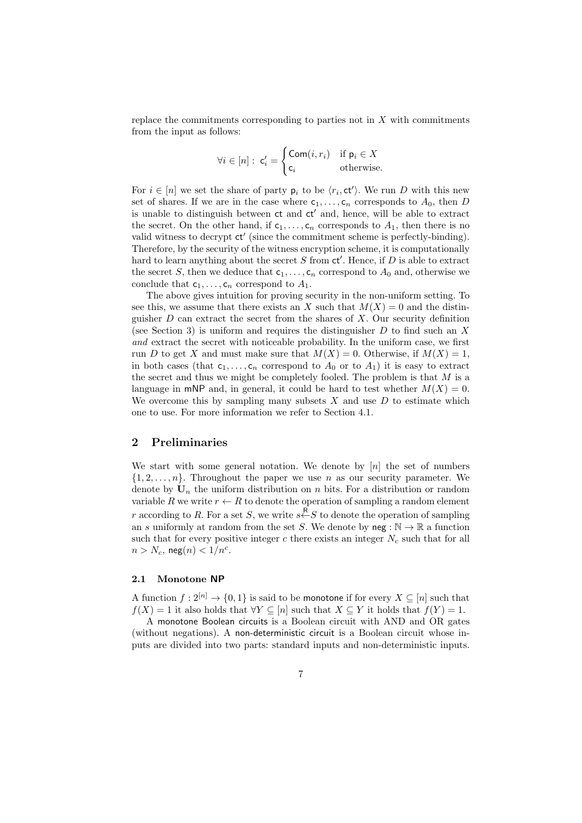replace the commitments corresponding to parties not in  $X$  with commitments from the input as follows:

$$
\forall i \in [n]: \mathsf{c}'_i = \begin{cases} \mathsf{Com}(i, r_i) & \text{if } \mathsf{p}_i \in X \\ \mathsf{c}_i & \text{otherwise.} \end{cases}
$$

For  $i \in [n]$  we set the share of party  $p_i$  to be  $\langle r_i, ct' \rangle$ . We run D with this new set of shares. If we are in the case where  $c_1, \ldots, c_n$  corresponds to  $A_0$ , then D is unable to distinguish between  $ct$  and  $ct'$  and, hence, will be able to extract the secret. On the other hand, if  $c_1, \ldots, c_n$  corresponds to  $A_1$ , then there is no valid witness to decrypt ct' (since the commitment scheme is perfectly-binding). Therefore, by the security of the witness encryption scheme, it is computationally hard to learn anything about the secret  $S$  from  $ct'$ . Hence, if  $D$  is able to extract the secret S, then we deduce that  $c_1, \ldots, c_n$  correspond to  $A_0$  and, otherwise we conclude that  $c_1, \ldots, c_n$  correspond to  $A_1$ .

The above gives intuition for proving security in the non-uniform setting. To see this, we assume that there exists an X such that  $M(X) = 0$  and the distinguisher  $D$  can extract the secret from the shares of  $X$ . Our security definition (see Section 3) is uniform and requires the distinguisher  $D$  to find such an  $X$ and extract the secret with noticeable probability. In the uniform case, we first run D to get X and must make sure that  $M(X) = 0$ . Otherwise, if  $M(X) = 1$ , in both cases (that  $c_1, \ldots, c_n$  correspond to  $A_0$  or to  $A_1$ ) it is easy to extract the secret and thus we might be completely fooled. The problem is that  $M$  is a language in mNP and, in general, it could be hard to test whether  $M(X) = 0$ . We overcome this by sampling many subsets  $X$  and use  $D$  to estimate which one to use. For more information we refer to Section 4.1.

## 2 Preliminaries

We start with some general notation. We denote by  $[n]$  the set of numbers  $\{1, 2, \ldots, n\}$ . Throughout the paper we use n as our security parameter. We denote by  $U_n$  the uniform distribution on n bits. For a distribution or random variable R we write  $r \leftarrow R$  to denote the operation of sampling a random element r according to R. For a set S, we write  $s \stackrel{R}{\leftarrow} S$  to denote the operation of sampling an s uniformly at random from the set S. We denote by  $\text{neg} : \mathbb{N} \to \mathbb{R}$  a function such that for every positive integer  $c$  there exists an integer  $N_c$  such that for all  $n > N_c$ , neg $(n) < 1/n^c$ .

#### 2.1 Monotone NP

A function  $f: 2^{[n]} \to \{0,1\}$  is said to be monotone if for every  $X \subseteq [n]$  such that  $f(X) = 1$  it also holds that  $\forall Y \subseteq [n]$  such that  $X \subseteq Y$  it holds that  $f(Y) = 1$ .

A monotone Boolean circuits is a Boolean circuit with AND and OR gates (without negations). A non-deterministic circuit is a Boolean circuit whose inputs are divided into two parts: standard inputs and non-deterministic inputs.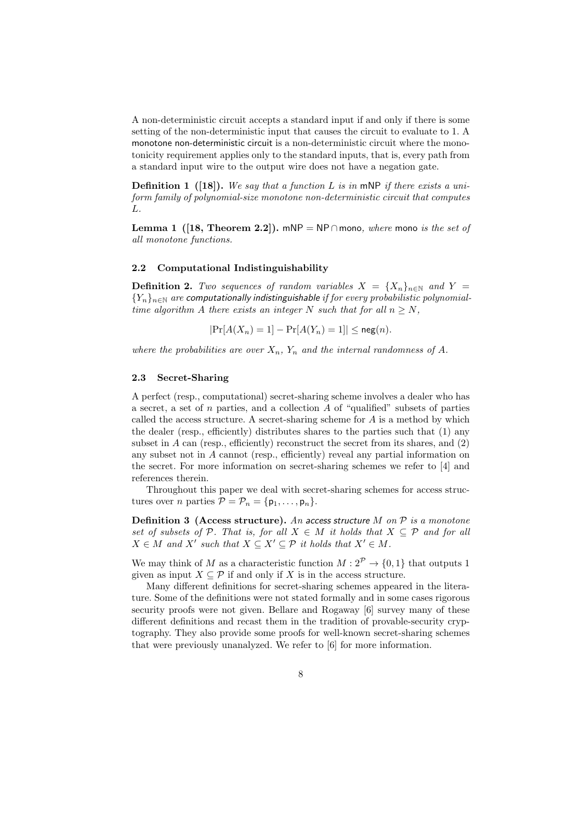A non-deterministic circuit accepts a standard input if and only if there is some setting of the non-deterministic input that causes the circuit to evaluate to 1. A monotone non-deterministic circuit is a non-deterministic circuit where the monotonicity requirement applies only to the standard inputs, that is, every path from a standard input wire to the output wire does not have a negation gate.

**Definition 1** ([18]). We say that a function L is in mNP if there exists a uniform family of polynomial-size monotone non-deterministic circuit that computes L.

Lemma 1 ([18, Theorem 2.2]). mNP = NP∩mono, where mono is the set of all monotone functions.

#### 2.2 Computational Indistinguishability

**Definition 2.** Two sequences of random variables  $X = \{X_n\}_{n\in\mathbb{N}}$  and  $Y =$  ${Y_n}_{n\in\mathbb{N}}$  are computationally indistinguishable if for every probabilistic polynomialtime algorithm A there exists an integer N such that for all  $n \geq N$ ,

$$
|\Pr[A(X_n) = 1] - \Pr[A(Y_n) = 1]| \leq \text{neg}(n).
$$

where the probabilities are over  $X_n$ ,  $Y_n$  and the internal randomness of A.

#### 2.3 Secret-Sharing

A perfect (resp., computational) secret-sharing scheme involves a dealer who has a secret, a set of n parties, and a collection  $A$  of "qualified" subsets of parties called the access structure. A secret-sharing scheme for A is a method by which the dealer (resp., efficiently) distributes shares to the parties such that (1) any subset in  $A$  can (resp., efficiently) reconstruct the secret from its shares, and  $(2)$ any subset not in A cannot (resp., efficiently) reveal any partial information on the secret. For more information on secret-sharing schemes we refer to [4] and references therein.

Throughout this paper we deal with secret-sharing schemes for access structures over *n* parties  $\mathcal{P} = \mathcal{P}_n = \{p_1, \ldots, p_n\}.$ 

**Definition 3 (Access structure).** An access structure M on  $P$  is a monotone set of subsets of P. That is, for all  $X \in M$  it holds that  $X \subseteq P$  and for all  $X \in M$  and  $X'$  such that  $X \subseteq X' \subseteq \mathcal{P}$  it holds that  $X' \in M$ .

We may think of M as a characteristic function  $M: 2^{\mathcal{P}} \to \{0, 1\}$  that outputs 1 given as input  $X \subseteq \mathcal{P}$  if and only if X is in the access structure.

Many different definitions for secret-sharing schemes appeared in the literature. Some of the definitions were not stated formally and in some cases rigorous security proofs were not given. Bellare and Rogaway [6] survey many of these different definitions and recast them in the tradition of provable-security cryptography. They also provide some proofs for well-known secret-sharing schemes that were previously unanalyzed. We refer to [6] for more information.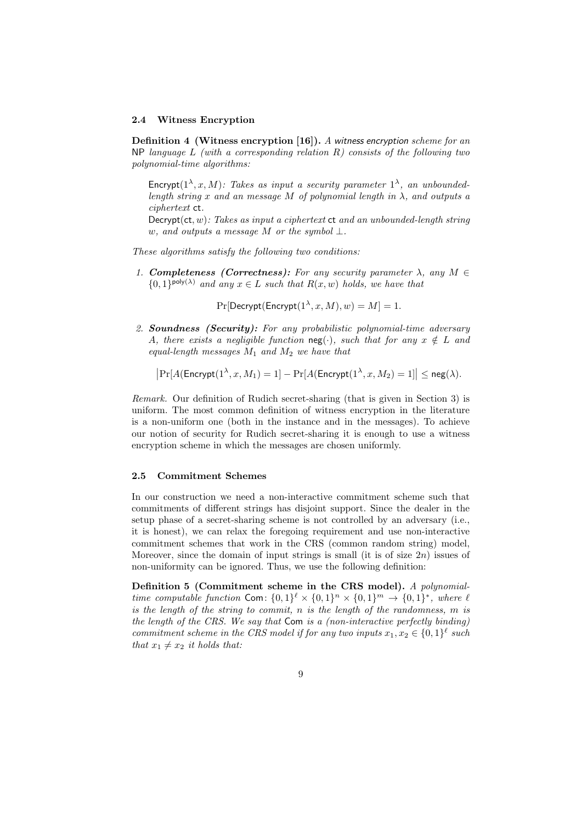#### 2.4 Witness Encryption

Definition 4 (Witness encryption [16]). A witness encryption scheme for an NP language  $L$  (with a corresponding relation  $R$ ) consists of the following two polynomial-time algorithms:

Encrypt( $1^{\lambda}, x, M$ ): Takes as input a security parameter  $1^{\lambda}$ , an unboundedlength string x and an message M of polynomial length in  $\lambda$ , and outputs a ciphertext ct.

 $\text{Decrypt}(\text{ct}, w)$ : Takes as input a ciphertext  $\text{ct}$  and an unbounded-length string w, and outputs a message M or the symbol  $\bot$ .

These algorithms satisfy the following two conditions:

1. **Completeness (Correctness):** For any security parameter  $\lambda$ , any  $M \in$  $\{0,1\}^{\text{poly}(\lambda)}$  and any  $x \in L$  such that  $R(x, w)$  holds, we have that

 $Pr[$ Decrypt $($ Encrypt $(1^{\lambda}, x, M), w) = M] = 1.$ 

2. Soundness (Security): For any probabilistic polynomial-time adversary A, there exists a negligible function neg(·), such that for any  $x \notin L$  and equal-length messages  $M_1$  and  $M_2$  we have that

$$
\left|\Pr[A(\mathsf{Encrypt}(1^{\lambda}, x, M_1) = 1] - \Pr[A(\mathsf{Encrypt}(1^{\lambda}, x, M_2) = 1] \right| \le \mathsf{neg}(\lambda).
$$

Remark. Our definition of Rudich secret-sharing (that is given in Section 3) is uniform. The most common definition of witness encryption in the literature is a non-uniform one (both in the instance and in the messages). To achieve our notion of security for Rudich secret-sharing it is enough to use a witness encryption scheme in which the messages are chosen uniformly.

### 2.5 Commitment Schemes

In our construction we need a non-interactive commitment scheme such that commitments of different strings has disjoint support. Since the dealer in the setup phase of a secret-sharing scheme is not controlled by an adversary (i.e., it is honest), we can relax the foregoing requirement and use non-interactive commitment schemes that work in the CRS (common random string) model, Moreover, since the domain of input strings is small (it is of size  $2n$ ) issues of non-uniformity can be ignored. Thus, we use the following definition:

Definition 5 (Commitment scheme in the CRS model). A polynomialtime computable function Com:  $\{0,1\}^{\ell} \times \{0,1\}^n \times \{0,1\}^m \rightarrow \{0,1\}^*$ , where  $\ell$ is the length of the string to commit,  $n$  is the length of the randomness,  $m$  is the length of the CRS. We say that Com is a (non-interactive perfectly binding) commitment scheme in the CRS model if for any two inputs  $x_1, x_2 \in \{0, 1\}^{\ell}$  such that  $x_1 \neq x_2$  it holds that: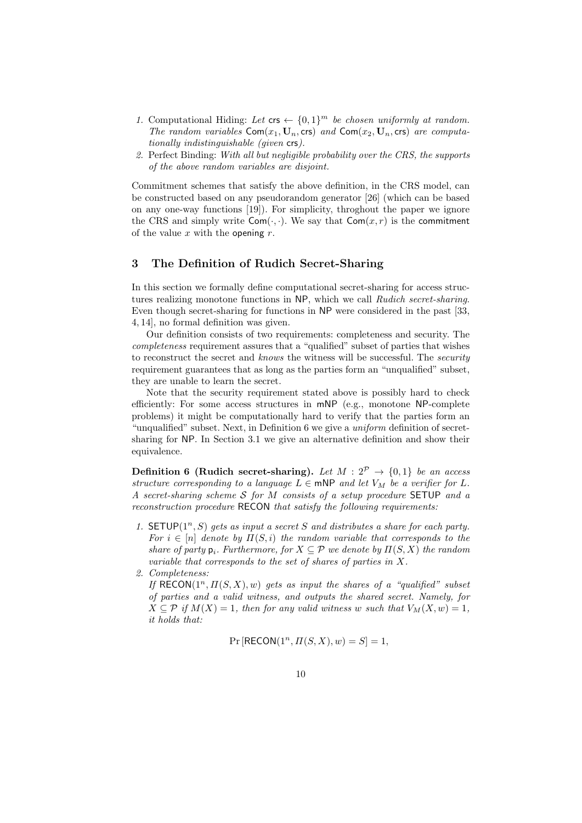- 1. Computational Hiding: Let  $\mathsf{crs} \leftarrow \{0,1\}^m$  be chosen uniformly at random. The random variables  $Com(x_1, U_n, \text{crs})$  and  $Com(x_2, U_n, \text{crs})$  are computationally indistinguishable (given crs).
- 2. Perfect Binding: With all but negligible probability over the CRS, the supports of the above random variables are disjoint.

Commitment schemes that satisfy the above definition, in the CRS model, can be constructed based on any pseudorandom generator [26] (which can be based on any one-way functions [19]). For simplicity, throghout the paper we ignore the CRS and simply write  $Com(\cdot, \cdot)$ . We say that  $Com(x, r)$  is the commitment of the value x with the opening  $r$ .

## 3 The Definition of Rudich Secret-Sharing

In this section we formally define computational secret-sharing for access structures realizing monotone functions in NP, which we call Rudich secret-sharing. Even though secret-sharing for functions in NP were considered in the past [33, 4, 14], no formal definition was given.

Our definition consists of two requirements: completeness and security. The completeness requirement assures that a "qualified" subset of parties that wishes to reconstruct the secret and knows the witness will be successful. The security requirement guarantees that as long as the parties form an "unqualified" subset, they are unable to learn the secret.

Note that the security requirement stated above is possibly hard to check efficiently: For some access structures in mNP (e.g., monotone NP-complete problems) it might be computationally hard to verify that the parties form an "unqualified" subset. Next, in Definition 6 we give a uniform definition of secretsharing for NP. In Section 3.1 we give an alternative definition and show their equivalence.

**Definition 6 (Rudich secret-sharing).** Let  $M: 2^{\mathcal{P}} \rightarrow \{0,1\}$  be an access structure corresponding to a language  $L \in \text{mNP}$  and let  $V_M$  be a verifier for L. A secret-sharing scheme S for M consists of a setup procedure SETUP and a reconstruction procedure RECON that satisfy the following requirements:

1. SETUP( $1^n$ , S) gets as input a secret S and distributes a share for each party. For  $i \in [n]$  denote by  $\Pi(S, i)$  the random variable that corresponds to the share of party  $p_i$ . Furthermore, for  $X \subseteq \mathcal{P}$  we denote by  $\Pi(S, X)$  the random variable that corresponds to the set of shares of parties in X.

2. Completeness:

If  $RECON(1^n, \Pi(S, X), w)$  gets as input the shares of a "qualified" subset of parties and a valid witness, and outputs the shared secret. Namely, for  $X \subseteq \mathcal{P}$  if  $M(X) = 1$ , then for any valid witness w such that  $V_M(X, w) = 1$ , it holds that:

 $Pr[RECON(1<sup>n</sup>, \Pi(S, X), w) = S] = 1,$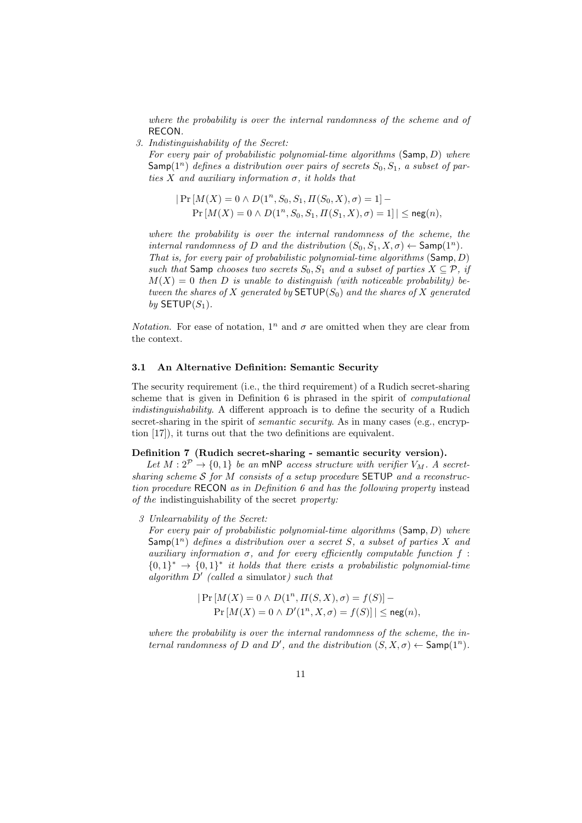where the probability is over the internal randomness of the scheme and of RECON.

3. Indistinguishability of the Secret:

For every pair of probabilistic polynomial-time algorithms  $(Samp, D)$  where  $\mathsf{Samp}(1^n)$  defines a distribution over pairs of secrets  $S_0, S_1, a$  subset of parties X and auxiliary information  $\sigma$ , it holds that

$$
|\Pr[M(X) = 0 \land D(1^n, S_0, S_1, \Pi(S_0, X), \sigma) = 1] - \Pr[M(X) = 0 \land D(1^n, S_0, S_1, \Pi(S_1, X), \sigma) = 1]| \leq {\rm neg}(n)
$$

where the probability is over the internal randomness of the scheme, the internal randomness of D and the distribution  $(S_0, S_1, X, \sigma) \leftarrow$  Samp $(1^n)$ . That is, for every pair of probabilistic polynomial-time algorithms  $(Samp, D)$ such that Samp chooses two secrets  $S_0, S_1$  and a subset of parties  $X \subseteq \mathcal{P}$ , if  $M(X) = 0$  then D is unable to distinguish (with noticeable probability) between the shares of X generated by  $\mathsf{SETUP}(S_0)$  and the shares of X generated by  $SETUP(S_1)$ .

*Notation.* For ease of notation,  $1^n$  and  $\sigma$  are omitted when they are clear from the context.

### 3.1 An Alternative Definition: Semantic Security

The security requirement (i.e., the third requirement) of a Rudich secret-sharing scheme that is given in Definition 6 is phrased in the spirit of *computational* indistinguishability. A different approach is to define the security of a Rudich secret-sharing in the spirit of *semantic security*. As in many cases (e.g., encryption [17]), it turns out that the two definitions are equivalent.

### Definition 7 (Rudich secret-sharing - semantic security version).

Let  $M: 2^{\mathcal{P}} \rightarrow \{0,1\}$  be an mNP access structure with verifier  $V_M$ . A secretsharing scheme  $S$  for  $\tilde{M}$  consists of a setup procedure SETUP and a reconstruction procedure RECON as in Definition 6 and has the following property instead of the indistinguishability of the secret property:

3 Unlearnability of the Secret:

For every pair of probabilistic polynomial-time algorithms  $(Samp, D)$  where  $Samp(1^n)$  defines a distribution over a secret S, a subset of parties X and auxiliary information  $\sigma$ , and for every efficiently computable function f:  ${0,1}^* \rightarrow {0,1}^*$  it holds that there exists a probabilistic polynomial-time algorithm  $D'$  (called a simulator) such that

> $|Pr[M(X) = 0 \land D(1^n, \Pi(S, X), \sigma) = f(S)] Pr[M(X) = 0 \land D'(1^n, X, \sigma) = f(S)] \leq neg(n),$

where the probability is over the internal randomness of the scheme, the internal randomness of D and D', and the distribution  $(S, X, \sigma) \leftarrow$  Samp $(1^n)$ .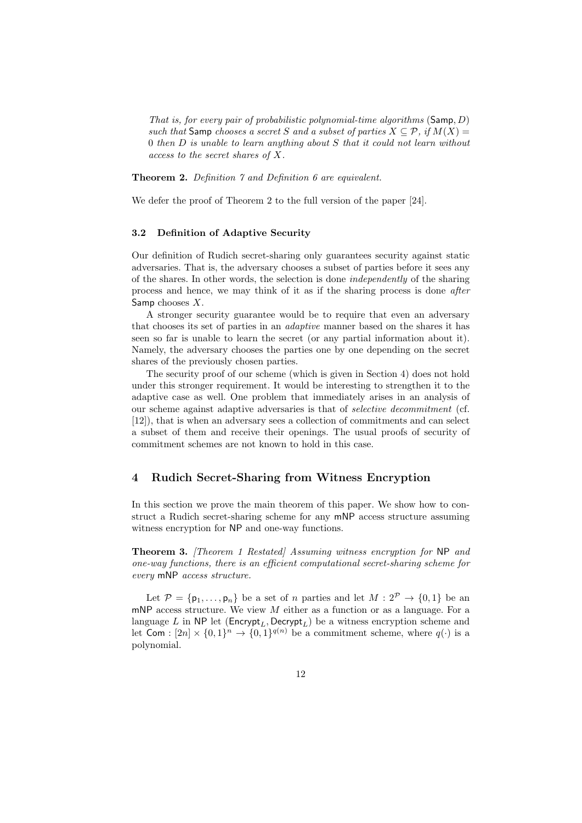That is, for every pair of probabilistic polynomial-time algorithms (Samp, D) such that Samp chooses a secret S and a subset of parties  $X \subseteq \mathcal{P}$ , if  $M(X) =$ 0 then D is unable to learn anything about S that it could not learn without access to the secret shares of X.

Theorem 2. Definition 7 and Definition 6 are equivalent.

We defer the proof of Theorem 2 to the full version of the paper [24].

### 3.2 Definition of Adaptive Security

Our definition of Rudich secret-sharing only guarantees security against static adversaries. That is, the adversary chooses a subset of parties before it sees any of the shares. In other words, the selection is done independently of the sharing process and hence, we may think of it as if the sharing process is done after Samp chooses  $X$ .

A stronger security guarantee would be to require that even an adversary that chooses its set of parties in an adaptive manner based on the shares it has seen so far is unable to learn the secret (or any partial information about it). Namely, the adversary chooses the parties one by one depending on the secret shares of the previously chosen parties.

The security proof of our scheme (which is given in Section 4) does not hold under this stronger requirement. It would be interesting to strengthen it to the adaptive case as well. One problem that immediately arises in an analysis of our scheme against adaptive adversaries is that of selective decommitment (cf. [12]), that is when an adversary sees a collection of commitments and can select a subset of them and receive their openings. The usual proofs of security of commitment schemes are not known to hold in this case.

### 4 Rudich Secret-Sharing from Witness Encryption

In this section we prove the main theorem of this paper. We show how to construct a Rudich secret-sharing scheme for any mNP access structure assuming witness encryption for NP and one-way functions.

Theorem 3. [Theorem 1 Restated] Assuming witness encryption for NP and one-way functions, there is an efficient computational secret-sharing scheme for every mNP access structure.

Let  $\mathcal{P} = \{\mathsf{p}_1,\ldots,\mathsf{p}_n\}$  be a set of *n* parties and let  $M: 2^{\mathcal{P}} \to \{0,1\}$  be an mNP access structure. We view  $M$  either as a function or as a language. For a language L in NP let ( $\mathsf{Encrypt}_L$ , Decrypt<sub>L</sub>) be a witness encryption scheme and let Com :  $[2n] \times \{0,1\}^n \to \{0,1\}^{q(n)}$  be a commitment scheme, where  $q(\cdot)$  is a polynomial.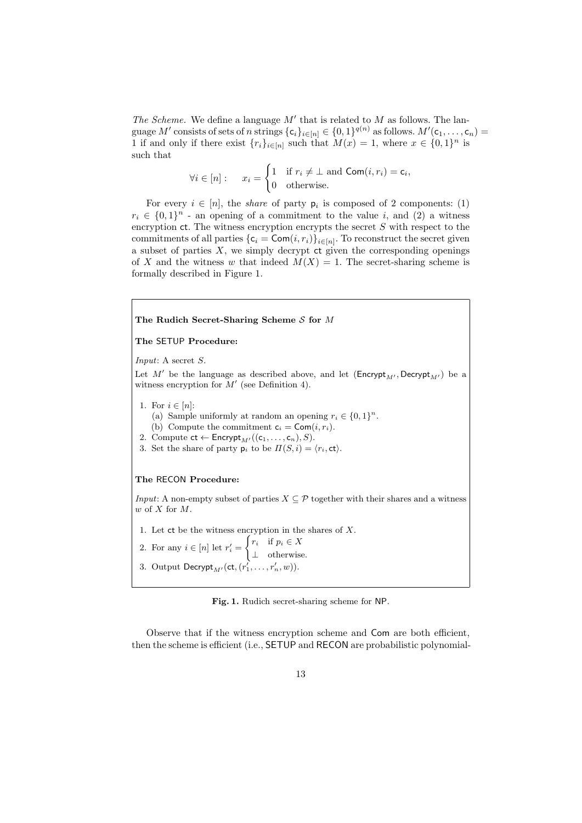The Scheme. We define a language  $M'$  that is related to  $M$  as follows. The language M' consists of sets of n strings  $\{c_i\}_{i\in[n]}\in\{0,1\}^{q(n)}$  as follows.  $M'(\mathsf{c}_1,\ldots,\mathsf{c}_n)=$ 1 if and only if there exist  $\{r_i\}_{i\in[n]}$  such that  $M(x) = 1$ , where  $x \in \{0,1\}^n$  is such that

$$
\forall i \in [n]: \quad x_i = \begin{cases} 1 & \text{if } r_i \neq \bot \text{ and } \mathsf{Com}(i, r_i) = \mathsf{c}_i, \\ 0 & \text{otherwise.} \end{cases}
$$

For every  $i \in [n]$ , the *share* of party  $p_i$  is composed of 2 components: (1)  $r_i \in \{0,1\}^n$  - an opening of a commitment to the value i, and (2) a witness encryption  $ct$ . The witness encryption encrypts the secret S with respect to the commitments of all parties  $\{c_i = \textsf{Com}(i, r_i)\}_{i \in [n]}$ . To reconstruct the secret given a subset of parties  $X$ , we simply decrypt  $ct$  given the corresponding openings of X and the witness w that indeed  $M(X) = 1$ . The secret-sharing scheme is formally described in Figure 1.

### The Rudich Secret-Sharing Scheme  $S$  for  $M$

The SETUP Procedure:

Input: A secret S.

Let M' be the language as described above, and let  $(Encryptionmathsf{Encrypt}_{M}$ , Decrypt<sub>M'</sub>) be a witness encryption for  $M'$  (see Definition 4).

- 1. For  $i \in [n]:$ 
	- (a) Sample uniformly at random an opening  $r_i \in \{0,1\}^n$ .
	- (b) Compute the commitment  $c_i = \text{Com}(i, r_i)$ .
- 2. Compute  $ct \leftarrow \mathsf{Encrypt}_{M'}((c_1, \ldots, c_n), S).$
- 3. Set the share of party  $p_i$  to be  $\Pi(S, i) = \langle r_i, \text{ct} \rangle$ .

### The RECON Procedure:

*Input*: A non-empty subset of parties  $X \subseteq \mathcal{P}$  together with their shares and a witness  $w$  of  $X$  for  $M$ .

- 1. Let  $ct$  be the witness encryption in the shares of  $X$ .
- 2. For any  $i \in [n]$  let  $r'_i =$  $\int r_i$  if  $p_i \in X$
- ⊥ otherwise.
- 3. Output  $\mathsf{Decrypt}_{M'}(\mathsf{ct},(r'_1,\ldots,r'_n,w)).$

Fig. 1. Rudich secret-sharing scheme for NP.

Observe that if the witness encryption scheme and Com are both efficient, then the scheme is efficient (i.e., SETUP and RECON are probabilistic polynomial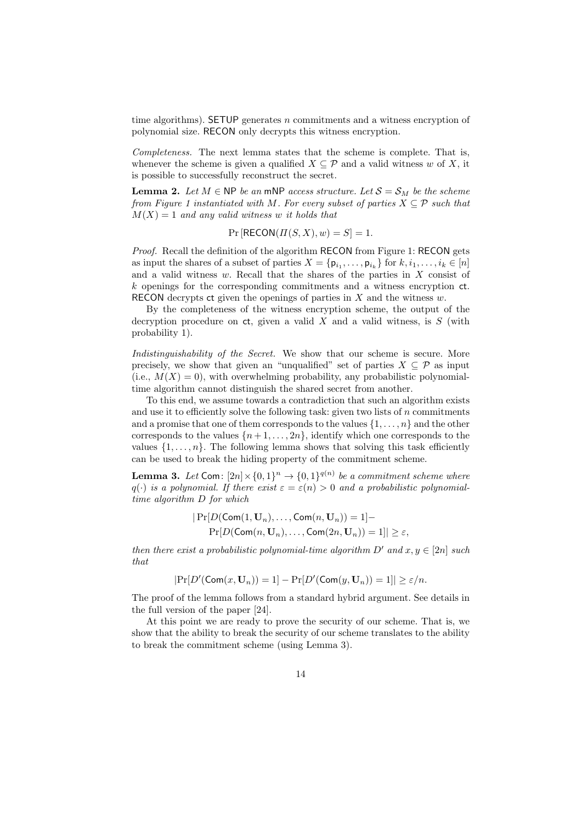time algorithms). SETUP generates  $n$  commitments and a witness encryption of polynomial size. RECON only decrypts this witness encryption.

Completeness. The next lemma states that the scheme is complete. That is, whenever the scheme is given a qualified  $X \subseteq \mathcal{P}$  and a valid witness w of X, it is possible to successfully reconstruct the secret.

**Lemma 2.** Let  $M \in \mathbb{NP}$  be an mNP access structure. Let  $\mathcal{S} = \mathcal{S}_M$  be the scheme from Figure 1 instantiated with M. For every subset of parties  $X \subseteq \mathcal{P}$  such that  $M(X) = 1$  and any valid witness w it holds that

$$
Pr[RECON(\Pi(S, X), w) = S] = 1.
$$

Proof. Recall the definition of the algorithm RECON from Figure 1: RECON gets as input the shares of a subset of parties  $X = \{p_{i_1}, \ldots, p_{i_k}\}\$  for  $k, i_1, \ldots, i_k \in [n]$ and a valid witness  $w$ . Recall that the shares of the parties in  $X$  consist of  $k$  openings for the corresponding commitments and a witness encryption  $ct$ . RECON decrypts ct given the openings of parties in  $X$  and the witness  $w$ .

By the completeness of the witness encryption scheme, the output of the decryption procedure on  $ct$ , given a valid X and a valid witness, is S (with probability 1).

Indistinguishability of the Secret. We show that our scheme is secure. More precisely, we show that given an "unqualified" set of parties  $X \subseteq \mathcal{P}$  as input (i.e.,  $M(X) = 0$ ), with overwhelming probability, any probabilistic polynomialtime algorithm cannot distinguish the shared secret from another.

To this end, we assume towards a contradiction that such an algorithm exists and use it to efficiently solve the following task: given two lists of  $n$  commitments and a promise that one of them corresponds to the values  $\{1,\ldots,n\}$  and the other corresponds to the values  $\{n+1,\ldots,2n\}$ , identify which one corresponds to the values  $\{1, \ldots, n\}$ . The following lemma shows that solving this task efficiently can be used to break the hiding property of the commitment scheme.

**Lemma 3.** Let Com:  $[2n] \times \{0,1\}^n \rightarrow \{0,1\}^{q(n)}$  be a commitment scheme where  $q(\cdot)$  is a polynomial. If there exist  $\varepsilon = \varepsilon(n) > 0$  and a probabilistic polynomialtime algorithm D for which

$$
|\Pr[D(\mathsf{Com}(1,\mathbf{U}_n),\ldots,\mathsf{Com}(n,\mathbf{U}_n))=1]-
$$
  

$$
|\Pr[D(\mathsf{Com}(n,\mathbf{U}_n),\ldots,\mathsf{Com}(2n,\mathbf{U}_n))=1]| \geq \varepsilon,
$$

then there exist a probabilistic polynomial-time algorithm  $D'$  and  $x, y \in [2n]$  such that

$$
|\Pr[D'(\mathsf{Com}(x,\mathbf{U}_n))=1]-\Pr[D'(\mathsf{Com}(y,\mathbf{U}_n))=1]|\geq \varepsilon/n.
$$

The proof of the lemma follows from a standard hybrid argument. See details in the full version of the paper [24].

At this point we are ready to prove the security of our scheme. That is, we show that the ability to break the security of our scheme translates to the ability to break the commitment scheme (using Lemma 3).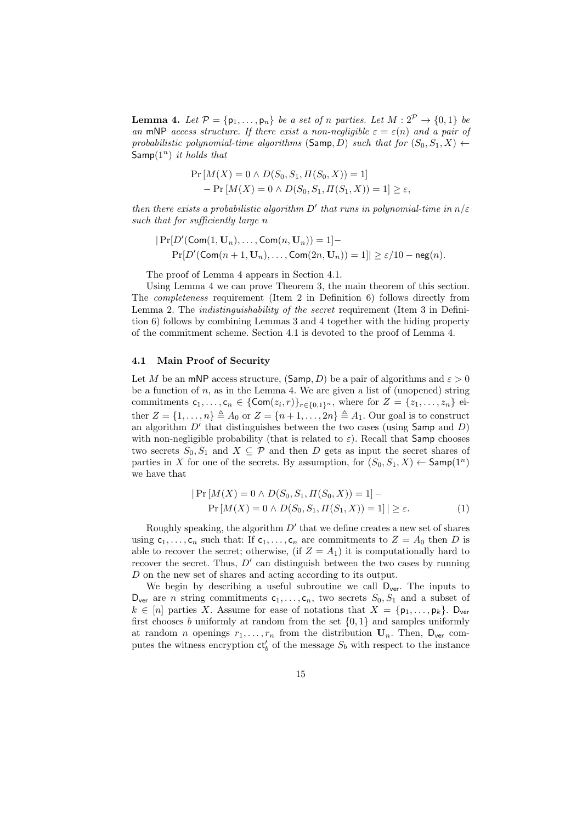**Lemma 4.** Let  $\mathcal{P} = \{\mathbf{p}_1, \ldots, \mathbf{p}_n\}$  be a set of n parties. Let  $M : 2^{\mathcal{P}} \to \{0, 1\}$  be an mNP access structure. If there exist a non-negligible  $\varepsilon = \varepsilon(n)$  and a pair of probabilistic polynomial-time algorithms (Samp, D) such that for  $(S_0, S_1, X) \leftarrow$ Samp $(1^n)$  it holds that

$$
\Pr[M(X) = 0 \land D(S_0, S_1, \Pi(S_0, X)) = 1] \\
- \Pr[M(X) = 0 \land D(S_0, S_1, \Pi(S_1, X)) = 1] \ge \varepsilon,
$$

then there exists a probabilistic algorithm  $D'$  that runs in polynomial-time in  $n/\varepsilon$ such that for sufficiently large n

$$
|\Pr[D'(\mathsf{Com}(1,\mathbf{U}_n),\ldots,\mathsf{Com}(n,\mathbf{U}_n))=1]-\Pr[D'(\mathsf{Com}(n+1,\mathbf{U}_n),\ldots,\mathsf{Com}(2n,\mathbf{U}_n))=1]|\geq \varepsilon/10-\mathsf{neg}(n).
$$

The proof of Lemma 4 appears in Section 4.1.

Using Lemma 4 we can prove Theorem 3, the main theorem of this section. The completeness requirement (Item 2 in Definition 6) follows directly from Lemma 2. The indistinguishability of the secret requirement (Item 3 in Definition 6) follows by combining Lemmas 3 and 4 together with the hiding property of the commitment scheme. Section 4.1 is devoted to the proof of Lemma 4.

### 4.1 Main Proof of Security

Let M be an mNP access structure, (Samp, D) be a pair of algorithms and  $\varepsilon > 0$ be a function of  $n$ , as in the Lemma 4. We are given a list of (unopened) string commitments  $c_1,\ldots,c_n \in \{\textsf{Com}(z_i,r)\}_{r\in\{0,1\}^n}$ , where for  $Z = \{z_1,\ldots,z_n\}$  either  $Z = \{1, \ldots, n\} \triangleq A_0$  or  $Z = \{n+1, \ldots, 2n\} \triangleq A_1$ . Our goal is to construct an algorithm  $D'$  that distinguishes between the two cases (using Samp and  $D$ ) with non-negligible probability (that is related to  $\varepsilon$ ). Recall that Samp chooses two secrets  $S_0, S_1$  and  $X \subseteq \mathcal{P}$  and then D gets as input the secret shares of parties in X for one of the secrets. By assumption, for  $(S_0, S_1, X) \leftarrow$  Samp $(1^n)$ we have that

$$
|\Pr[M(X) = 0 \land D(S_0, S_1, \Pi(S_0, X)) = 1] - \Pr[M(X) = 0 \land D(S_0, S_1, \Pi(S_1, X)) = 1]| \ge \varepsilon.
$$
 (1)

Roughly speaking, the algorithm  $D'$  that we define creates a new set of shares using  $c_1, \ldots, c_n$  such that: If  $c_1, \ldots, c_n$  are commitments to  $Z = A_0$  then D is able to recover the secret; otherwise, (if  $Z = A_1$ ) it is computationally hard to recover the secret. Thus,  $D'$  can distinguish between the two cases by running D on the new set of shares and acting according to its output.

We begin by describing a useful subroutine we call  $D_{ver}$ . The inputs to  $D_{ver}$  are *n* string commitments  $c_1, \ldots, c_n$ , two secrets  $S_0, S_1$  and a subset of  $k \in [n]$  parties X. Assume for ease of notations that  $X = \{p_1, \ldots, p_k\}$ . D<sub>ver</sub> first chooses b uniformly at random from the set  $\{0,1\}$  and samples uniformly at random *n* openings  $r_1, \ldots, r_n$  from the distribution  $U_n$ . Then,  $D_{ver}$  computes the witness encryption  $ct'_{b}$  of the message  $S_{b}$  with respect to the instance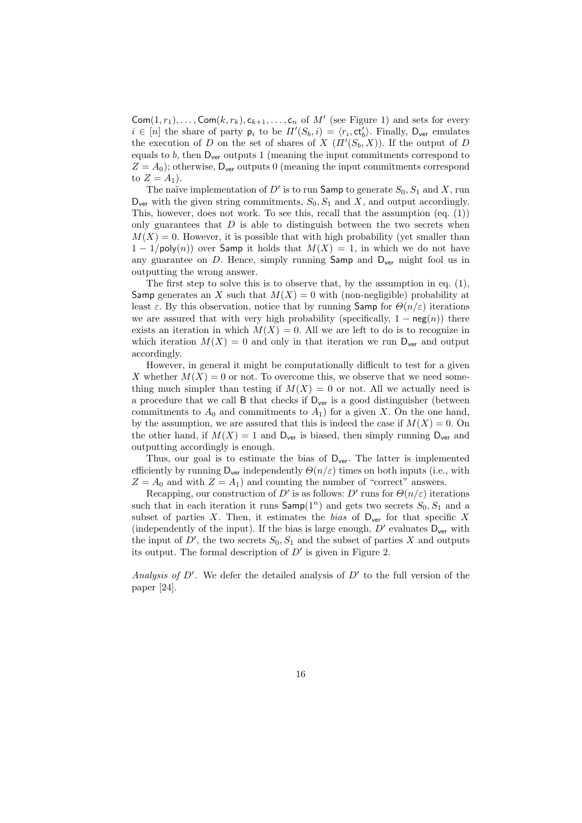$\mathsf{Com}(1,r_1),\ldots,\mathsf{Com}(k,r_k),\mathsf{c}_{k+1},\ldots,\mathsf{c}_n$  of  $M'$  (see Figure 1) and sets for every  $i \in [n]$  the share of party  $p_i$  to be  $\Pi'(S_b, i) = \langle r_i, \text{ct}_b' \rangle$ . Finally,  $D_{\text{ver}}$  emulates the execution of D on the set of shares of X  $(\Pi'(S_b, X))$ . If the output of D equals to  $b$ , then  $D_{\text{ver}}$  outputs 1 (meaning the input commitments correspond to  $Z = A_0$ ; otherwise,  $D_{\text{ver}}$  outputs 0 (meaning the input commitments correspond to  $Z = A_1$ ).

The naïve implementation of  $D'$  is to run Samp to generate  $S_0, S_1$  and X, run  $D_{\text{ver}}$  with the given string commitments,  $S_0$ ,  $S_1$  and X, and output accordingly. This, however, does not work. To see this, recall that the assumption (eq. (1)) only guarantees that  $D$  is able to distinguish between the two secrets when  $M(X) = 0$ . However, it is possible that with high probability (yet smaller than  $1 - 1/\text{poly}(n)$  over Samp it holds that  $M(X) = 1$ , in which we do not have any guarantee on  $D$ . Hence, simply running Samp and  $D_{ver}$  might fool us in outputting the wrong answer.

The first step to solve this is to observe that, by the assumption in eq. (1), Samp generates an X such that  $M(X) = 0$  with (non-negligible) probability at least  $\varepsilon$ . By this observation, notice that by running Samp for  $\Theta(n/\varepsilon)$  iterations we are assured that with very high probability (specifically,  $1 - neg(n)$ ) there exists an iteration in which  $M(X) = 0$ . All we are left to do is to recognize in which iteration  $M(X) = 0$  and only in that iteration we run  $D_{ver}$  and output accordingly.

However, in general it might be computationally difficult to test for a given X whether  $M(X) = 0$  or not. To overcome this, we observe that we need something much simpler than testing if  $M(X) = 0$  or not. All we actually need is a procedure that we call  $B$  that checks if  $D_{ver}$  is a good distinguisher (between commitments to  $A_0$  and commitments to  $A_1$ ) for a given X. On the one hand, by the assumption, we are assured that this is indeed the case if  $M(X) = 0$ . On the other hand, if  $M(X) = 1$  and  $D_{ver}$  is biased, then simply running  $D_{ver}$  and outputting accordingly is enough.

Thus, our goal is to estimate the bias of  $D_{\text{ver}}$ . The latter is implemented efficiently by running  $D_{\text{ver}}$  independently  $\Theta(n/\varepsilon)$  times on both inputs (i.e., with  $Z = A_0$  and with  $Z = A_1$ ) and counting the number of "correct" answers.

Recapping, our construction of D' is as follows: D' runs for  $\Theta(n/\varepsilon)$  iterations such that in each iteration it runs  $\textsf{Samp}(1^n)$  and gets two secrets  $S_0, S_1$  and a subset of parties X. Then, it estimates the bias of  $D_{\text{ver}}$  for that specific X (independently of the input). If the bias is large enough,  $D'$  evaluates  $D_{ver}$  with the input of D', the two secrets  $S_0, S_1$  and the subset of parties X and outputs its output. The formal description of  $D'$  is given in Figure 2.

Analysis of  $D'$ . We defer the detailed analysis of  $D'$  to the full version of the paper [24].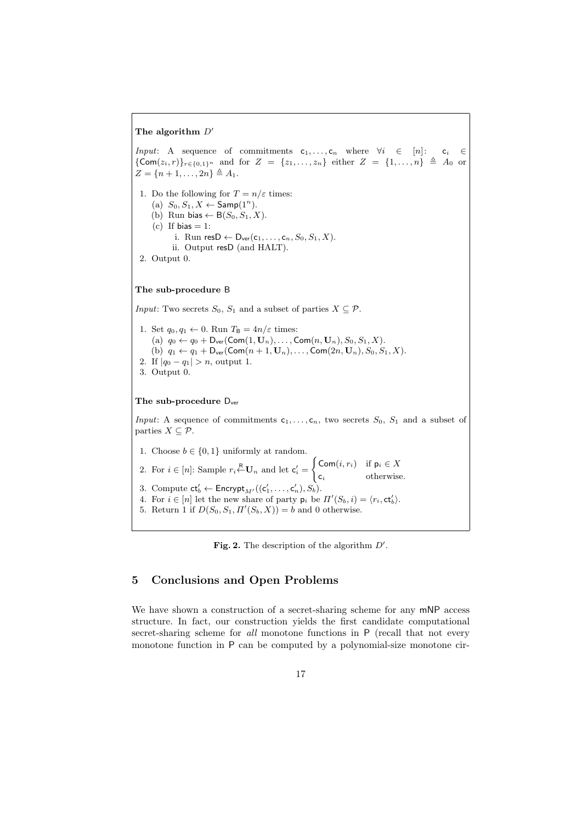### The algorithm  $D'$

*Input*: A sequence of commitments  $c_1, \ldots, c_n$  where  $\forall i \in [n]:$   $c_i \in$  ${Com}(z_i, r)$ <sub>r∈{0,1}</sub><sup>n</sup> and for  $Z = \{z_1, ..., z_n\}$  either  $Z = \{1, ..., n\}$   $\triangleq A_0$  or  $Z = \{n+1, \ldots, 2n\} \triangleq A_1.$ 1. Do the following for  $T = n/\varepsilon$  times: (a)  $S_0, S_1, X \leftarrow$  Samp $(1^n)$ . (b) Run bias  $\leftarrow B(S_0, S_1, X)$ . (c) If bias  $= 1$ : i. Run res $D \leftarrow D_{ver}(c_1, \ldots, c_n, S_0, S_1, X)$ . ii. Output resD (and HALT). 2. Output 0. The sub-procedure B *Input*: Two secrets  $S_0$ ,  $S_1$  and a subset of parties  $X \subseteq \mathcal{P}$ . 1. Set  $q_0, q_1 \leftarrow 0$ . Run  $T_B = 4n/\varepsilon$  times: (a)  $q_0 \leftarrow q_0 + \mathsf{D}_{\text{ver}}(\textsf{Com}(1, \mathbf{U}_n), \dots, \textsf{Com}(n, \mathbf{U}_n), S_0, S_1, X).$ (b)  $q_1 \leftarrow q_1 + \mathsf{D}_{\text{ver}}(\textsf{Com}(n+1,\mathbf{U}_n),\ldots,\textsf{Com}(2n,\mathbf{U}_n),S_0,S_1,X).$ 2. If  $|q_0 - q_1| > n$ , output 1. 3. Output 0. The sub-procedure  $D_{ver}$ *Input*: A sequence of commitments  $c_1, \ldots, c_n$ , two secrets  $S_0$ ,  $S_1$  and a subset of parties  $X \subseteq \mathcal{P}$ . 1. Choose  $b \in \{0, 1\}$  uniformly at random. 2. For  $i \in [n]$ : Sample  $r_i \stackrel{\mathsf{R}}{\leftarrow} \mathbf{U}_n$  and let  $\mathsf{c}'_i =$  $\int \text{Com}(i, r_i)$  if  $p_i \in X$  $c_i$  otherwise. 3. Compute  $ct'_b \leftarrow \mathsf{Encrypt}_{M'}((c'_1, \ldots, c'_n), S_b)$ . 4. For  $i \in [n]$  let the new share of party  $p_i$  be  $\Pi'(S_b, i) = \langle r_i, \text{ct}_b' \rangle$ . 5. Return 1 if  $D(S_0, S_1, \Pi'(S_b, X)) = b$  and 0 otherwise.



## 5 Conclusions and Open Problems

We have shown a construction of a secret-sharing scheme for any mNP access structure. In fact, our construction yields the first candidate computational secret-sharing scheme for all monotone functions in P (recall that not every monotone function in P can be computed by a polynomial-size monotone cir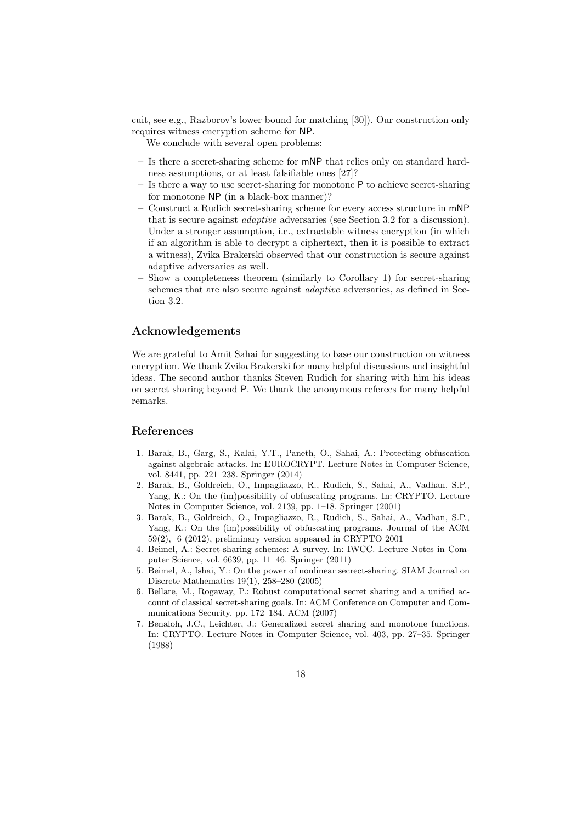cuit, see e.g., Razborov's lower bound for matching [30]). Our construction only requires witness encryption scheme for NP.

We conclude with several open problems:

- Is there a secret-sharing scheme for mNP that relies only on standard hardness assumptions, or at least falsifiable ones [27]?
- Is there a way to use secret-sharing for monotone P to achieve secret-sharing for monotone NP (in a black-box manner)?
- Construct a Rudich secret-sharing scheme for every access structure in mNP that is secure against adaptive adversaries (see Section 3.2 for a discussion). Under a stronger assumption, i.e., extractable witness encryption (in which if an algorithm is able to decrypt a ciphertext, then it is possible to extract a witness), Zvika Brakerski observed that our construction is secure against adaptive adversaries as well.
- Show a completeness theorem (similarly to Corollary 1) for secret-sharing schemes that are also secure against adaptive adversaries, as defined in Section 3.2.

### Acknowledgements

We are grateful to Amit Sahai for suggesting to base our construction on witness encryption. We thank Zvika Brakerski for many helpful discussions and insightful ideas. The second author thanks Steven Rudich for sharing with him his ideas on secret sharing beyond P. We thank the anonymous referees for many helpful remarks.

### References

- 1. Barak, B., Garg, S., Kalai, Y.T., Paneth, O., Sahai, A.: Protecting obfuscation against algebraic attacks. In: EUROCRYPT. Lecture Notes in Computer Science, vol. 8441, pp. 221–238. Springer (2014)
- 2. Barak, B., Goldreich, O., Impagliazzo, R., Rudich, S., Sahai, A., Vadhan, S.P., Yang, K.: On the (im)possibility of obfuscating programs. In: CRYPTO. Lecture Notes in Computer Science, vol. 2139, pp. 1–18. Springer (2001)
- 3. Barak, B., Goldreich, O., Impagliazzo, R., Rudich, S., Sahai, A., Vadhan, S.P., Yang, K.: On the (im)possibility of obfuscating programs. Journal of the ACM 59(2), 6 (2012), preliminary version appeared in CRYPTO 2001
- 4. Beimel, A.: Secret-sharing schemes: A survey. In: IWCC. Lecture Notes in Computer Science, vol. 6639, pp. 11–46. Springer (2011)
- 5. Beimel, A., Ishai, Y.: On the power of nonlinear secrect-sharing. SIAM Journal on Discrete Mathematics 19(1), 258–280 (2005)
- 6. Bellare, M., Rogaway, P.: Robust computational secret sharing and a unified account of classical secret-sharing goals. In: ACM Conference on Computer and Communications Security. pp. 172–184. ACM (2007)
- 7. Benaloh, J.C., Leichter, J.: Generalized secret sharing and monotone functions. In: CRYPTO. Lecture Notes in Computer Science, vol. 403, pp. 27–35. Springer (1988)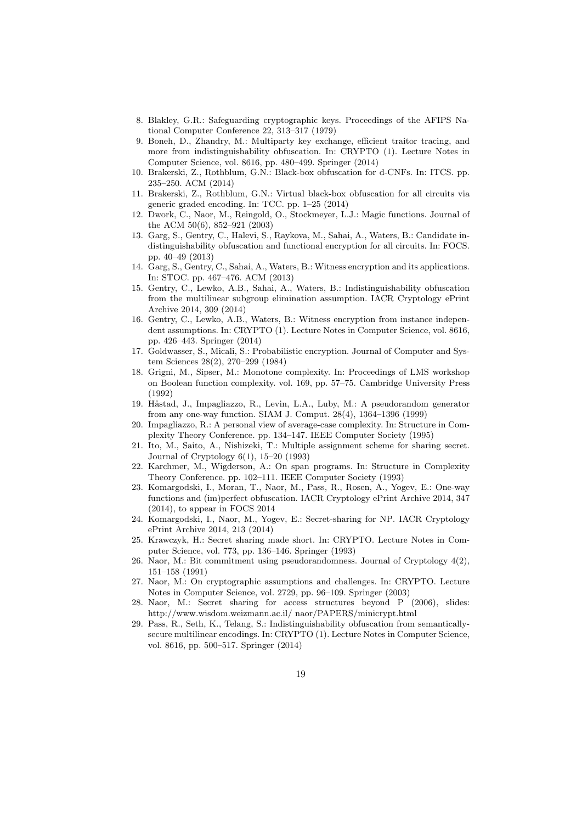- 8. Blakley, G.R.: Safeguarding cryptographic keys. Proceedings of the AFIPS National Computer Conference 22, 313–317 (1979)
- 9. Boneh, D., Zhandry, M.: Multiparty key exchange, efficient traitor tracing, and more from indistinguishability obfuscation. In: CRYPTO (1). Lecture Notes in Computer Science, vol. 8616, pp. 480–499. Springer (2014)
- 10. Brakerski, Z., Rothblum, G.N.: Black-box obfuscation for d-CNFs. In: ITCS. pp. 235–250. ACM (2014)
- 11. Brakerski, Z., Rothblum, G.N.: Virtual black-box obfuscation for all circuits via generic graded encoding. In: TCC. pp. 1–25 (2014)
- 12. Dwork, C., Naor, M., Reingold, O., Stockmeyer, L.J.: Magic functions. Journal of the ACM 50(6), 852–921 (2003)
- 13. Garg, S., Gentry, C., Halevi, S., Raykova, M., Sahai, A., Waters, B.: Candidate indistinguishability obfuscation and functional encryption for all circuits. In: FOCS. pp. 40–49 (2013)
- 14. Garg, S., Gentry, C., Sahai, A., Waters, B.: Witness encryption and its applications. In: STOC. pp. 467–476. ACM (2013)
- 15. Gentry, C., Lewko, A.B., Sahai, A., Waters, B.: Indistinguishability obfuscation from the multilinear subgroup elimination assumption. IACR Cryptology ePrint Archive 2014, 309 (2014)
- 16. Gentry, C., Lewko, A.B., Waters, B.: Witness encryption from instance independent assumptions. In: CRYPTO (1). Lecture Notes in Computer Science, vol. 8616, pp. 426–443. Springer (2014)
- 17. Goldwasser, S., Micali, S.: Probabilistic encryption. Journal of Computer and System Sciences 28(2), 270–299 (1984)
- 18. Grigni, M., Sipser, M.: Monotone complexity. In: Proceedings of LMS workshop on Boolean function complexity. vol. 169, pp. 57–75. Cambridge University Press (1992)
- 19. Håstad, J., Impagliazzo, R., Levin, L.A., Luby, M.: A pseudorandom generator from any one-way function. SIAM J. Comput. 28(4), 1364–1396 (1999)
- 20. Impagliazzo, R.: A personal view of average-case complexity. In: Structure in Complexity Theory Conference. pp. 134–147. IEEE Computer Society (1995)
- 21. Ito, M., Saito, A., Nishizeki, T.: Multiple assignment scheme for sharing secret. Journal of Cryptology 6(1), 15–20 (1993)
- 22. Karchmer, M., Wigderson, A.: On span programs. In: Structure in Complexity Theory Conference. pp. 102–111. IEEE Computer Society (1993)
- 23. Komargodski, I., Moran, T., Naor, M., Pass, R., Rosen, A., Yogev, E.: One-way functions and (im)perfect obfuscation. IACR Cryptology ePrint Archive 2014, 347 (2014), to appear in FOCS 2014
- 24. Komargodski, I., Naor, M., Yogev, E.: Secret-sharing for NP. IACR Cryptology ePrint Archive 2014, 213 (2014)
- 25. Krawczyk, H.: Secret sharing made short. In: CRYPTO. Lecture Notes in Computer Science, vol. 773, pp. 136–146. Springer (1993)
- 26. Naor, M.: Bit commitment using pseudorandomness. Journal of Cryptology 4(2), 151–158 (1991)
- 27. Naor, M.: On cryptographic assumptions and challenges. In: CRYPTO. Lecture Notes in Computer Science, vol. 2729, pp. 96–109. Springer (2003)
- 28. Naor, M.: Secret sharing for access structures beyond P (2006), slides: http://www.wisdom.weizmann.ac.il/ naor/PAPERS/minicrypt.html
- 29. Pass, R., Seth, K., Telang, S.: Indistinguishability obfuscation from semanticallysecure multilinear encodings. In: CRYPTO (1). Lecture Notes in Computer Science, vol. 8616, pp. 500–517. Springer (2014)